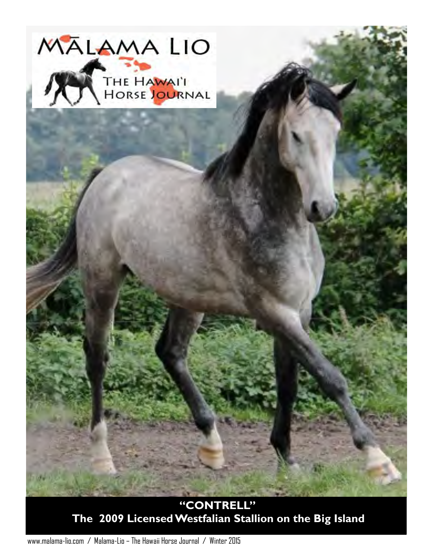

**"CONTRELL" The 2009 Licensed Westfalian Stallion on the Big Island** 

www.malama-lio.com / Malama-Lio – The Hawaii Horse Journal / Winter 2015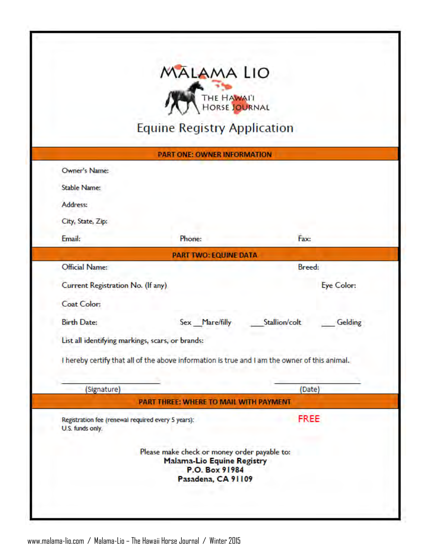|                                                                        | THE HAWAIT                                                                                          |                          |
|------------------------------------------------------------------------|-----------------------------------------------------------------------------------------------------|--------------------------|
|                                                                        | <b>Equine Registry Application</b>                                                                  |                          |
|                                                                        | <b>PART ONE: OWNER INFORMATION</b>                                                                  |                          |
| Owner's Name:                                                          |                                                                                                     |                          |
| <b>Stable Name:</b>                                                    |                                                                                                     |                          |
| Address:                                                               |                                                                                                     |                          |
| City, State, Zip:                                                      |                                                                                                     |                          |
| Email:                                                                 | Phone:                                                                                              | Fax:                     |
|                                                                        | <b>PART TWO: EQUINE DATA</b>                                                                        |                          |
| Official Name:                                                         |                                                                                                     | <b>Breed:</b>            |
| Current Registration No. (If any)                                      |                                                                                                     | Eye Color:               |
| Coat Color:                                                            |                                                                                                     |                          |
| <b>Birth Date:</b>                                                     | Sex Mare/filly                                                                                      | Stallion/colt<br>Gelding |
| List all identifying markings, scars, or brands:                       |                                                                                                     |                          |
|                                                                        | I hereby certify that all of the above information is true and I am the owner of this animal.       |                          |
| (Signature)                                                            |                                                                                                     | (Date)                   |
|                                                                        | PART THREE: WHERE TO MAIL WITH PAYMENT                                                              |                          |
| Registration fee (renewal required every 5 years):<br>U.S. funds only. |                                                                                                     | <b>FREE</b>              |
|                                                                        | Please make check or money order payable to:<br><b>Malama-Lio Equine Registry</b><br>P.O. Box 91984 |                          |

www.malama-lio.com / Malama-Lio – The Hawaii Horse Journal / Winter 2015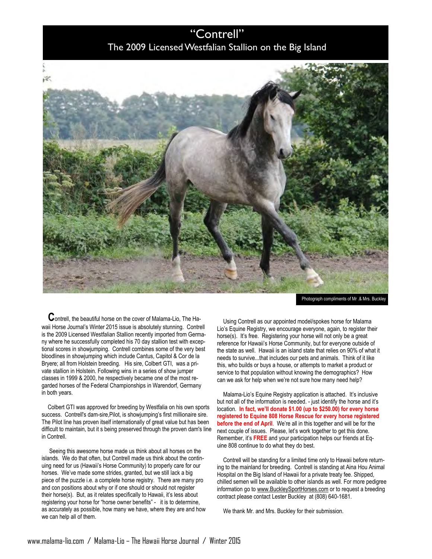## "Contrell" The 2009 Licensed Westfalian Stallion on the Big Island



Photograph compliments of Mr .& Mrs. Buckley

 **C**ontrell, the beautiful horse on the cover of Malama-Lio, The Hawaii Horse Journal's Winter 2015 issue is absolutely stunning. Contrell is the 2009 Licensed Westfalian Stallion recently imported from Germany where he successfully completed his 70 day stallion test with exceptional scores in showjumping. Contrell combines some of the very best bloodlines in showjumping which include Cantus, Capitol & Cor de la Bryere; all from Holstein breeding. His sire, Colbert GTI, was a private stallion in Holstein. Following wins in a series of show jumper classes in 1999 & 2000, he respectively became one of the most regarded horses of the Federal Championships in Warendorf, Germany in both years.

Colbert GTI was approved for breeding by Westfalia on his own sports success. Contrell's dam-sire,Pilot, is showjumping's first millionaire sire. The Pilot line has proven itself internationally of great value but has been difficult to maintain, but it s being preserved through the proven dam's line in Contrell.

 Seeing this awesome horse made us think about all horses on the islands. We do that often, but Contrell made us think about the continuing need for us (Hawaii's Horse Community) to properly care for our horses. We've made some strides, granted, but we still lack a big piece of the puzzle i.e. a complete horse registry. There are many pro and con positions about why or if one should or should not register their horse(s). But, as it relates specifically to Hawaii, it's less about registering your horse for "horse owner benefits" - it is to determine, as accurately as possible, how many we have, where they are and how we can help all of them.

Using Contrell as our appointed model/spokes horse for Malama Lio's Equine Registry, we encourage everyone, again, to register their horse(s). It's free. Registering your horse will not only be a great reference for Hawaii's Horse Community, but for everyone outside of the state as well. Hawaii is an island state that relies on 90% of what it needs to survive...that includes our pets and animals. Think of it like this, who builds or buys a house, or attempts to market a product or service to that population without knowing the demographics? How can we ask for help when we're not sure how many need help?

Malama-Lio's Equine Registry application is attached. It's inclusive but not all of the information is needed. - just identify the horse and it's location. **In fact, we'll donate \$1.00 (up to \$250.00) for every horse registered to Equine 808 Horse Rescue for every horse registered before the end of April**. We're all in this together and will be for the next couple of issues. Please, let's work together to get this done. Remember, it's **FREE** and your participation helps our friends at Equine 808 continue to do what they do best.

Contrell will be standing for a limited time only to Hawaii before returning to the mainland for breeding. Contrell is standing at Aina Hou Animal Hospital on the Big Island of Hawaii for a private treaty fee. Shipped, chilled semen will be available to other islands as well. For more pedigree information go to [www.BuckleySportHorses.com o](http://www.BuckleySportHorses.com)r to request a breeding contract please contact Lester Buckley at (808) 640-1681.

We thank Mr. and Mrs. Buckley for their submission.